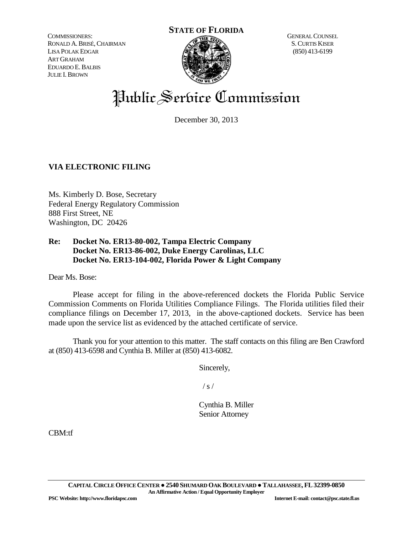COMMISSIONERS: RONALD A.BRISÉ,CHAIRMAN LISA POLAK EDGAR ART GRAHAM EDUARDO E.BALBIS JULIE I.BROWN

# **STATE OF FLORIDA**



GENERAL COUNSEL S.CURTIS KISER (850) 413-6199

# Public Service Commission

December 30, 2013

# **VIA ELECTRONIC FILING**

Ms. Kimberly D. Bose, Secretary Federal Energy Regulatory Commission 888 First Street, NE Washington, DC 20426

# **Re: Docket No. ER13-80-002, Tampa Electric Company Docket No. ER13-86-002, Duke Energy Carolinas, LLC Docket No. ER13-104-002, Florida Power & Light Company**

Dear Ms. Bose:

Please accept for filing in the above-referenced dockets the Florida Public Service Commission Comments on Florida Utilities Compliance Filings. The Florida utilities filed their compliance filings on December 17, 2013, in the above-captioned dockets. Service has been made upon the service list as evidenced by the attached certificate of service.

Thank you for your attention to this matter. The staff contacts on this filing are Ben Crawford at (850) 413-6598 and Cynthia B. Miller at (850) 413-6082.

Sincerely,

 $/ s /$ 

Cynthia B. Miller Senior Attorney

CBM:tf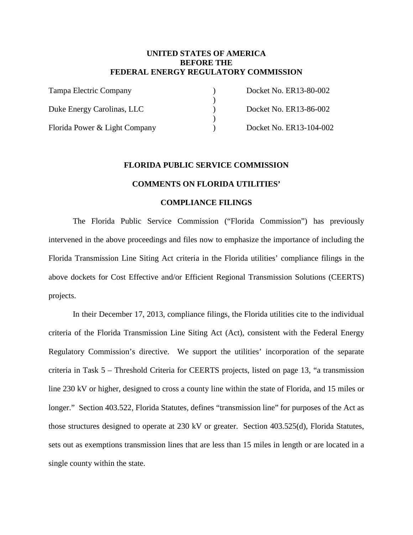## **UNITED STATES OF AMERICA BEFORE THE FEDERAL ENERGY REGULATORY COMMISSION**

| Tampa Electric Company        | Docket No. ER13-80-002  |
|-------------------------------|-------------------------|
|                               |                         |
| Duke Energy Carolinas, LLC    | Docket No. ER13-86-002  |
|                               |                         |
| Florida Power & Light Company | Docket No. ER13-104-002 |

#### **FLORIDA PUBLIC SERVICE COMMISSION**

#### **COMMENTS ON FLORIDA UTILITIES'**

#### **COMPLIANCE FILINGS**

The Florida Public Service Commission ("Florida Commission") has previously intervened in the above proceedings and files now to emphasize the importance of including the Florida Transmission Line Siting Act criteria in the Florida utilities' compliance filings in the above dockets for Cost Effective and/or Efficient Regional Transmission Solutions (CEERTS) projects.

In their December 17, 2013, compliance filings, the Florida utilities cite to the individual criteria of the Florida Transmission Line Siting Act (Act), consistent with the Federal Energy Regulatory Commission's directive. We support the utilities' incorporation of the separate criteria in Task 5 – Threshold Criteria for CEERTS projects, listed on page 13, "a transmission line 230 kV or higher, designed to cross a county line within the state of Florida, and 15 miles or longer." Section 403.522, Florida Statutes, defines "transmission line" for purposes of the Act as those structures designed to operate at 230 kV or greater. Section 403.525(d), Florida Statutes, sets out as exemptions transmission lines that are less than 15 miles in length or are located in a single county within the state.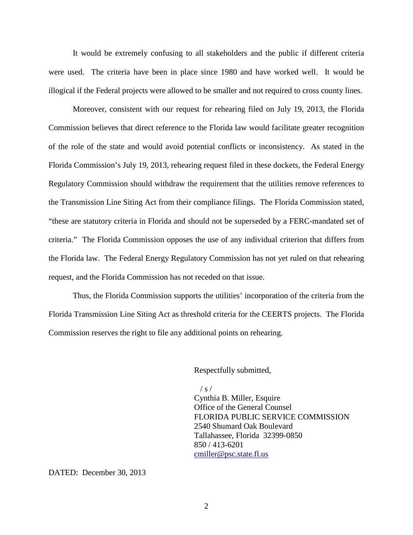It would be extremely confusing to all stakeholders and the public if different criteria were used. The criteria have been in place since 1980 and have worked well. It would be illogical if the Federal projects were allowed to be smaller and not required to cross county lines.

Moreover, consistent with our request for rehearing filed on July 19, 2013, the Florida Commission believes that direct reference to the Florida law would facilitate greater recognition of the role of the state and would avoid potential conflicts or inconsistency. As stated in the Florida Commission's July 19, 2013, rehearing request filed in these dockets, the Federal Energy Regulatory Commission should withdraw the requirement that the utilities remove references to the Transmission Line Siting Act from their compliance filings. The Florida Commission stated, "these are statutory criteria in Florida and should not be superseded by a FERC-mandated set of criteria." The Florida Commission opposes the use of any individual criterion that differs from the Florida law. The Federal Energy Regulatory Commission has not yet ruled on that rehearing request, and the Florida Commission has not receded on that issue.

Thus, the Florida Commission supports the utilities' incorporation of the criteria from the Florida Transmission Line Siting Act as threshold criteria for the CEERTS projects. The Florida Commission reserves the right to file any additional points on rehearing.

Respectfully submitted,

 $/ s /$ Cynthia B. Miller, Esquire Office of the General Counsel FLORIDA PUBLIC SERVICE COMMISSION 2540 Shumard Oak Boulevard Tallahassee, Florida 32399-0850 850 / 413-6201 [cmiller@psc.state.fl.us](mailto:cmiller@psc.state.fl.us)

DATED: December 30, 2013